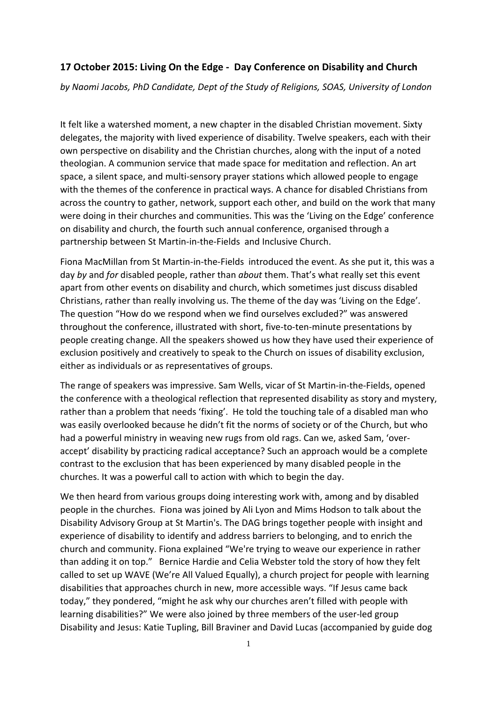## **17 October 2015: Living On the Edge - Day Conference on Disability and Church**

*by Naomi Jacobs, PhD Candidate, Dept of the Study of Religions, SOAS, University of London*

It felt like a watershed moment, a new chapter in the disabled Christian movement. Sixty delegates, the majority with lived experience of disability. Twelve speakers, each with their own perspective on disability and the Christian churches, along with the input of a noted theologian. A communion service that made space for meditation and reflection. An art space, a silent space, and multi-sensory prayer stations which allowed people to engage with the themes of the conference in practical ways. A chance for disabled Christians from across the country to gather, network, support each other, and build on the work that many were doing in their churches and communities. This was the 'Living on the Edge' conference on disability and church, the fourth such annual conference, organised through a partnership between St Martin-in-the-Fields and Inclusive Church.

Fiona MacMillan from St Martin-in-the-Fields introduced the event. As she put it, this was a day *by* and *for* disabled people, rather than *about* them. That's what really set this event apart from other events on disability and church, which sometimes just discuss disabled Christians, rather than really involving us. The theme of the day was 'Living on the Edge'. The question "How do we respond when we find ourselves excluded?" was answered throughout the conference, illustrated with short, five-to-ten-minute presentations by people creating change. All the speakers showed us how they have used their experience of exclusion positively and creatively to speak to the Church on issues of disability exclusion, either as individuals or as representatives of groups.

The range of speakers was impressive. Sam Wells, vicar of St Martin-in-the-Fields, opened the conference with a theological reflection that represented disability as story and mystery, rather than a problem that needs 'fixing'. He told the touching tale of a disabled man who was easily overlooked because he didn't fit the norms of society or of the Church, but who had a powerful ministry in weaving new rugs from old rags. Can we, asked Sam, 'overaccept' disability by practicing radical acceptance? Such an approach would be a complete contrast to the exclusion that has been experienced by many disabled people in the churches. It was a powerful call to action with which to begin the day.

We then heard from various groups doing interesting work with, among and by disabled people in the churches. Fiona was joined by Ali Lyon and Mims Hodson to talk about the Disability Advisory Group at St Martin's. The DAG brings together people with insight and experience of disability to identify and address barriers to belonging, and to enrich the church and community. Fiona explained "We're trying to weave our experience in rather than adding it on top." Bernice Hardie and Celia Webster told the story of how they felt called to set up WAVE (We're All Valued Equally), a church project for people with learning disabilities that approaches church in new, more accessible ways. "If Jesus came back today," they pondered, "might he ask why our churches aren't filled with people with learning disabilities?" We were also joined by three members of the user-led group Disability and Jesus: Katie Tupling, Bill Braviner and David Lucas (accompanied by guide dog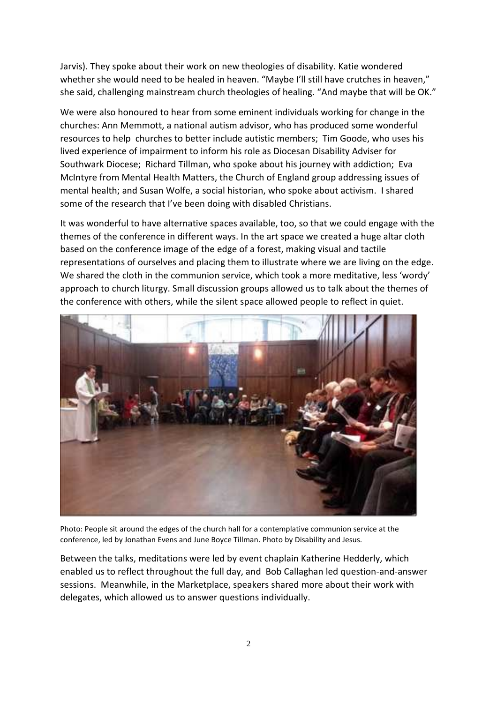Jarvis). They spoke about their work on new theologies of disability. Katie wondered whether she would need to be healed in heaven. "Maybe I'll still have crutches in heaven," she said, challenging mainstream church theologies of healing. "And maybe that will be OK."

We were also honoured to hear from some eminent individuals working for change in the churches: Ann Memmott, a national autism advisor, who has produced some wonderful resources to help churches to better include autistic members; Tim Goode, who uses his lived experience of impairment to inform his role as Diocesan Disability Adviser for Southwark Diocese; Richard Tillman, who spoke about his journey with addiction; Eva McIntyre from Mental Health Matters, the Church of England group addressing issues of mental health; and Susan Wolfe, a social historian, who spoke about activism. I shared some of the research that I've been doing with disabled Christians.

It was wonderful to have alternative spaces available, too, so that we could engage with the themes of the conference in different ways. In the art space we created a huge altar cloth based on the conference image of the edge of a forest, making visual and tactile representations of ourselves and placing them to illustrate where we are living on the edge. We shared the cloth in the communion service, which took a more meditative, less 'wordy' approach to church liturgy. Small discussion groups allowed us to talk about the themes of the conference with others, while the silent space allowed people to reflect in quiet.



Photo: People sit around the edges of the church hall for a contemplative communion service at the conference, led by Jonathan Evens and June Boyce Tillman. Photo by Disability and Jesus.

Between the talks, meditations were led by event chaplain Katherine Hedderly, which enabled us to reflect throughout the full day, and Bob Callaghan led question-and-answer sessions. Meanwhile, in the Marketplace, speakers shared more about their work with delegates, which allowed us to answer questions individually.